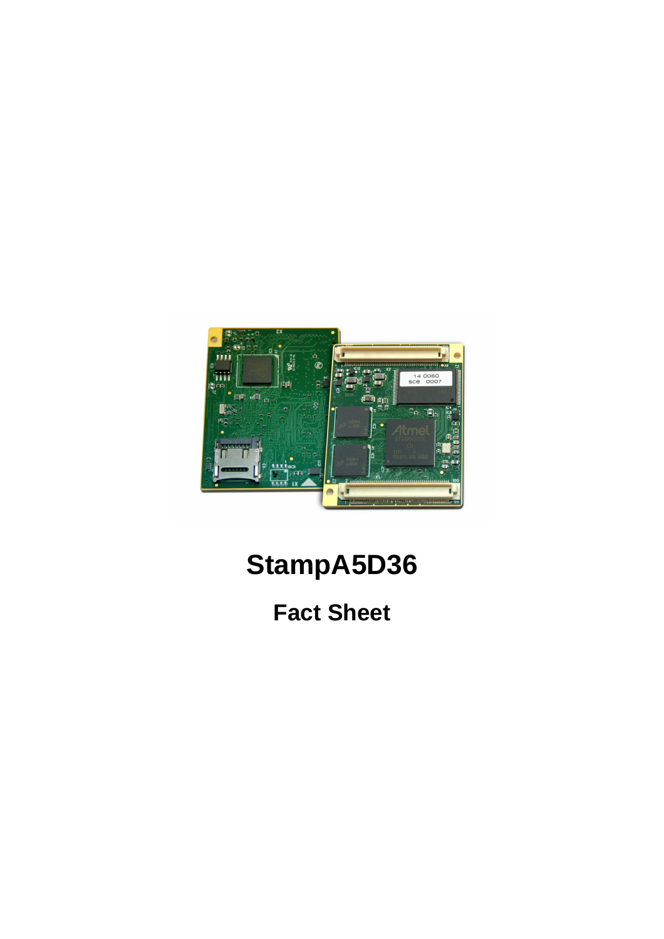

## **StampA5D36**

### **Fact Sheet**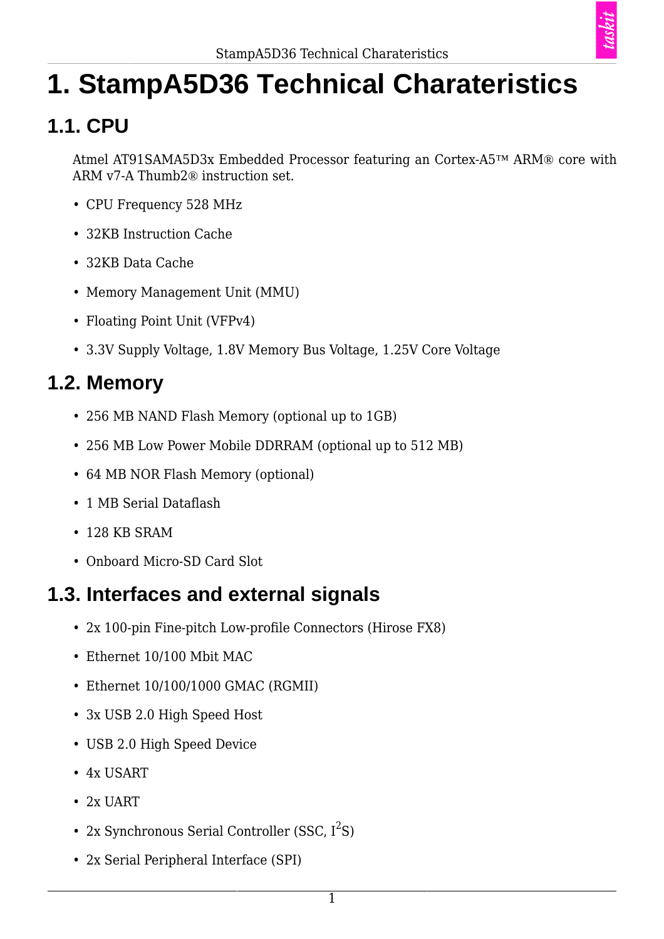

# **1. StampA5D36 Technical Charateristics**

### **1.1. CPU**

Atmel AT91SAMA5D3x Embedded Processor featuring an Cortex-A5™ ARM® core with ARM v7-A Thumb2® instruction set.

- CPU Frequency 528 MHz
- 32KB Instruction Cache
- 32KB Data Cache
- Memory Management Unit (MMU)
- Floating Point Unit (VFPv4)
- 3.3V Supply Voltage, 1.8V Memory Bus Voltage, 1.25V Core Voltage

#### **1.2. Memory**

- 256 MB NAND Flash Memory (optional up to 1GB)
- 256 MB Low Power Mobile DDRRAM (optional up to 512 MB)
- 64 MB NOR Flash Memory (optional)
- 1 MB Serial Dataflash
- 128 KB SRAM
- Onboard Micro-SD Card Slot

#### **1.3. Interfaces and external signals**

- 2x 100-pin Fine-pitch Low-profile Connectors (Hirose FX8)
- Ethernet 10/100 Mbit MAC
- Ethernet 10/100/1000 GMAC (RGMII)
- 3x USB 2.0 High Speed Host
- USB 2.0 High Speed Device
- 4x USART
- 2x UART
- 2x Synchronous Serial Controller (SSC,  $I^2S$ )
- 2x Serial Peripheral Interface (SPI)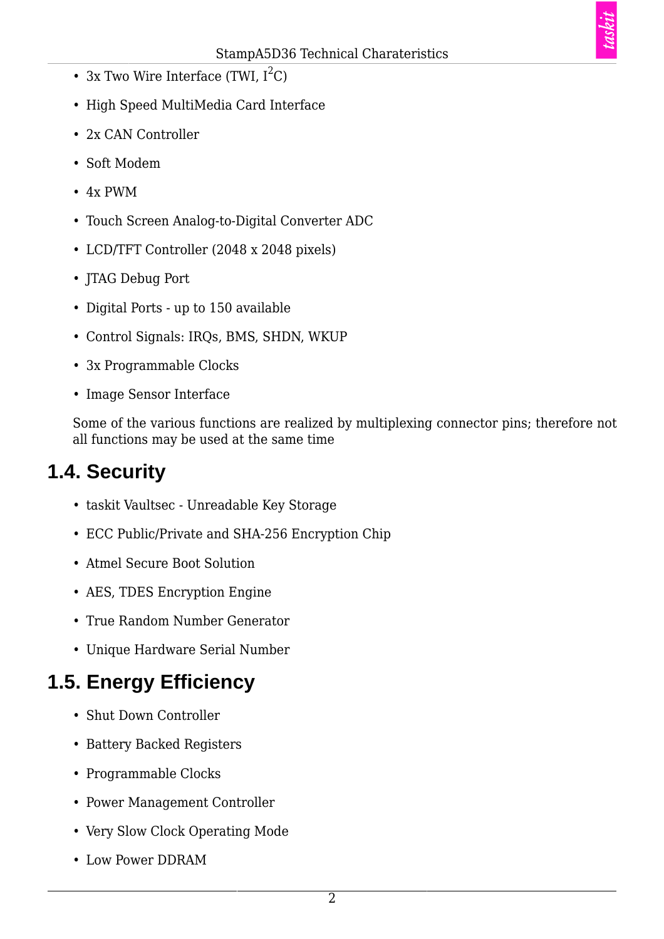- 3x Two Wire Interface (TWI,  $I^2C$ )
- High Speed MultiMedia Card Interface
- 2x CAN Controller
- Soft Modem
- 4x PWM
- Touch Screen Analog-to-Digital Converter ADC
- LCD/TFT Controller (2048 x 2048 pixels)
- JTAG Debug Port
- Digital Ports up to 150 available
- Control Signals: IRQs, BMS, SHDN, WKUP
- 3x Programmable Clocks
- Image Sensor Interface

Some of the various functions are realized by multiplexing connector pins; therefore not all functions may be used at the same time

#### **1.4. Security**

- taskit Vaultsec Unreadable Key Storage
- ECC Public/Private and SHA-256 Encryption Chip
- Atmel Secure Boot Solution
- AES, TDES Encryption Engine
- True Random Number Generator
- Unique Hardware Serial Number

#### **1.5. Energy Efficiency**

- Shut Down Controller
- Battery Backed Registers
- Programmable Clocks
- Power Management Controller
- Very Slow Clock Operating Mode
- Low Power DDRAM